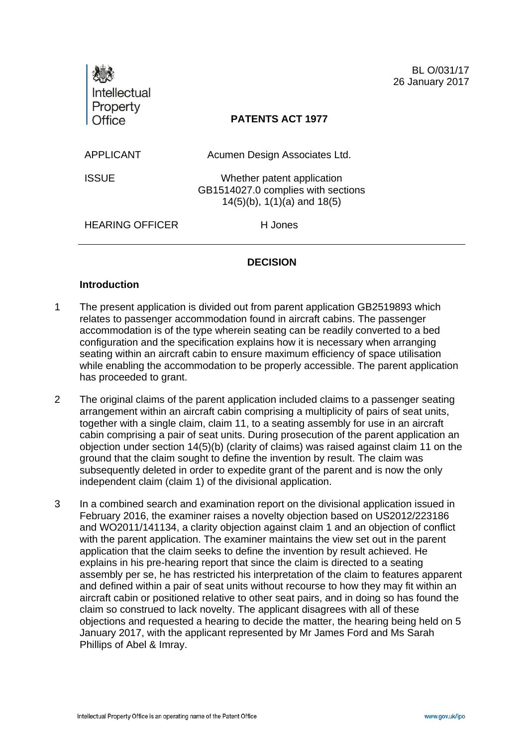| <b>Intellectual</b>    |                                                                                                        | BL O/031/17<br>26 January 2017 |
|------------------------|--------------------------------------------------------------------------------------------------------|--------------------------------|
| Property<br>Office     | <b>PATENTS ACT 1977</b>                                                                                |                                |
| <b>APPLICANT</b>       | Acumen Design Associates Ltd.                                                                          |                                |
| <b>ISSUE</b>           | Whether patent application<br>GB1514027.0 complies with sections<br>$14(5)(b)$ , $1(1)(a)$ and $18(5)$ |                                |
| <b>HEARING OFFICER</b> | H Jones                                                                                                |                                |
|                        |                                                                                                        |                                |

# **DECISION**

### **Introduction**

- 1 The present application is divided out from parent application GB2519893 which relates to passenger accommodation found in aircraft cabins. The passenger accommodation is of the type wherein seating can be readily converted to a bed configuration and the specification explains how it is necessary when arranging seating within an aircraft cabin to ensure maximum efficiency of space utilisation while enabling the accommodation to be properly accessible. The parent application has proceeded to grant.
- 2 The original claims of the parent application included claims to a passenger seating arrangement within an aircraft cabin comprising a multiplicity of pairs of seat units, together with a single claim, claim 11, to a seating assembly for use in an aircraft cabin comprising a pair of seat units. During prosecution of the parent application an objection under section 14(5)(b) (clarity of claims) was raised against claim 11 on the ground that the claim sought to define the invention by result. The claim was subsequently deleted in order to expedite grant of the parent and is now the only independent claim (claim 1) of the divisional application.
- 3 In a combined search and examination report on the divisional application issued in February 2016, the examiner raises a novelty objection based on US2012/223186 and WO2011/141134, a clarity objection against claim 1 and an objection of conflict with the parent application. The examiner maintains the view set out in the parent application that the claim seeks to define the invention by result achieved. He explains in his pre-hearing report that since the claim is directed to a seating assembly per se, he has restricted his interpretation of the claim to features apparent and defined within a pair of seat units without recourse to how they may fit within an aircraft cabin or positioned relative to other seat pairs, and in doing so has found the claim so construed to lack novelty. The applicant disagrees with all of these objections and requested a hearing to decide the matter, the hearing being held on 5 January 2017, with the applicant represented by Mr James Ford and Ms Sarah Phillips of Abel & Imray.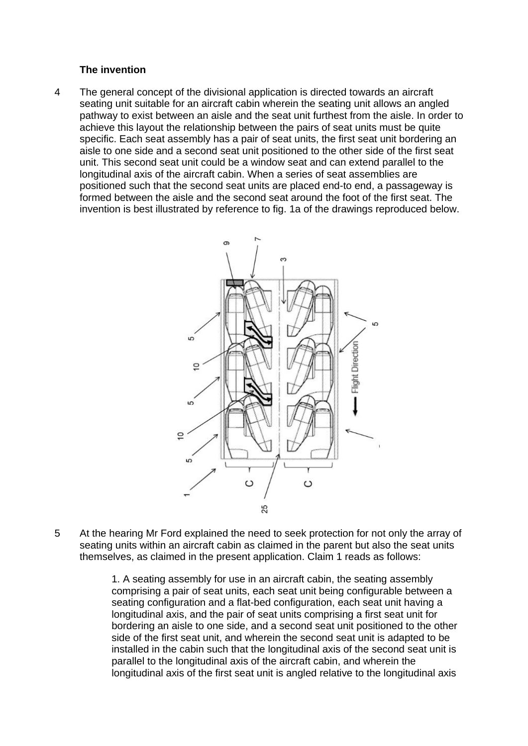#### **The invention**

4 The general concept of the divisional application is directed towards an aircraft seating unit suitable for an aircraft cabin wherein the seating unit allows an angled pathway to exist between an aisle and the seat unit furthest from the aisle. In order to achieve this layout the relationship between the pairs of seat units must be quite specific. Each seat assembly has a pair of seat units, the first seat unit bordering an aisle to one side and a second seat unit positioned to the other side of the first seat unit. This second seat unit could be a window seat and can extend parallel to the longitudinal axis of the aircraft cabin. When a series of seat assemblies are positioned such that the second seat units are placed end-to end, a passageway is formed between the aisle and the second seat around the foot of the first seat. The invention is best illustrated by reference to fig. 1a of the drawings reproduced below.



5 At the hearing Mr Ford explained the need to seek protection for not only the array of seating units within an aircraft cabin as claimed in the parent but also the seat units themselves, as claimed in the present application. Claim 1 reads as follows:

> 1. A seating assembly for use in an aircraft cabin, the seating assembly comprising a pair of seat units, each seat unit being configurable between a seating configuration and a flat-bed configuration, each seat unit having a longitudinal axis, and the pair of seat units comprising a first seat unit for bordering an aisle to one side, and a second seat unit positioned to the other side of the first seat unit, and wherein the second seat unit is adapted to be installed in the cabin such that the longitudinal axis of the second seat unit is parallel to the longitudinal axis of the aircraft cabin, and wherein the longitudinal axis of the first seat unit is angled relative to the longitudinal axis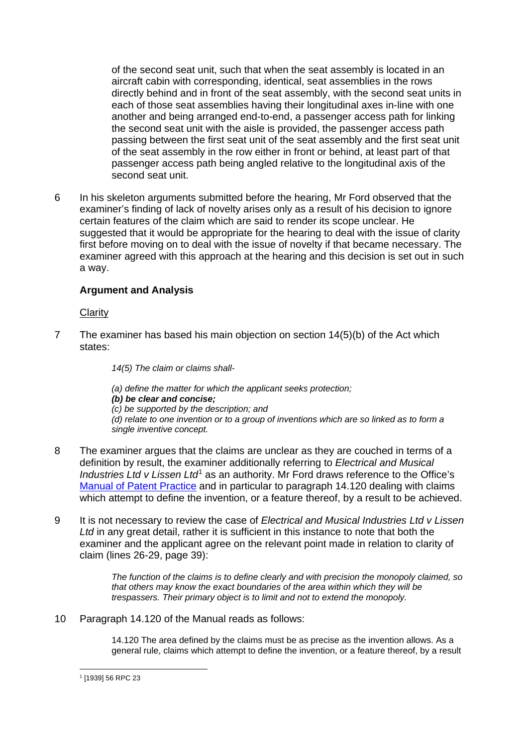of the second seat unit, such that when the seat assembly is located in an aircraft cabin with corresponding, identical, seat assemblies in the rows directly behind and in front of the seat assembly, with the second seat units in each of those seat assemblies having their longitudinal axes in-line with one another and being arranged end-to-end, a passenger access path for linking the second seat unit with the aisle is provided, the passenger access path passing between the first seat unit of the seat assembly and the first seat unit of the seat assembly in the row either in front or behind, at least part of that passenger access path being angled relative to the longitudinal axis of the second seat unit.

6 In his skeleton arguments submitted before the hearing, Mr Ford observed that the examiner's finding of lack of novelty arises only as a result of his decision to ignore certain features of the claim which are said to render its scope unclear. He suggested that it would be appropriate for the hearing to deal with the issue of clarity first before moving on to deal with the issue of novelty if that became necessary. The examiner agreed with this approach at the hearing and this decision is set out in such a way.

# **Argument and Analysis**

#### Clarity

7 The examiner has based his main objection on section 14(5)(b) of the Act which states:

*14(5) The claim or claims shall-*

- *(a) define the matter for which the applicant seeks protection;*
- *(b) be clear and concise;*
- *(c) be supported by the description; and*

*(d) relate to one invention or to a group of inventions which are so linked as to form a single inventive concept.*

- 8 The examiner argues that the claims are unclear as they are couched in terms of a definition by result, the examiner additionally referring to *Electrical and Musical Industries Ltd v Lissen Ltd*[1](#page-2-0) as an authority. Mr Ford draws reference to the Office's [Manual of Patent Practice](https://www.gov.uk/guidance/manual-of-patent-practice-mopp/section-14-the-application#invention-defined-by-reference-to-intended-use) and in particular to paragraph 14.120 dealing with claims which attempt to define the invention, or a feature thereof, by a result to be achieved.
- 9 It is not necessary to review the case of *Electrical and Musical Industries Ltd v Lissen Ltd* in any great detail, rather it is sufficient in this instance to note that both the examiner and the applicant agree on the relevant point made in relation to clarity of claim (lines 26-29, page 39):

*The function of the claims is to define clearly and with precision the monopoly claimed, so that others may know the exact boundaries of the area within which they will be trespassers. Their primary object is to limit and not to extend the monopoly.*

10 Paragraph 14.120 of the Manual reads as follows:

14.120 The area defined by the claims must be as precise as the invention allows. As a general rule, claims which attempt to define the invention, or a feature thereof, by a result

<span id="page-2-0"></span> <sup>1</sup> [1939] 56 RPC <sup>23</sup>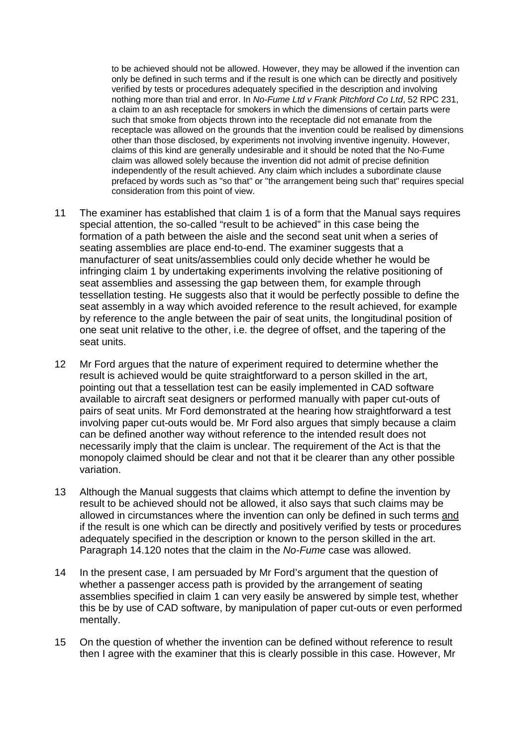to be achieved should not be allowed. However, they may be allowed if the invention can only be defined in such terms and if the result is one which can be directly and positively verified by tests or procedures adequately specified in the description and involving nothing more than trial and error. In *No-Fume Ltd v Frank Pitchford Co Ltd*, 52 RPC 231, a claim to an ash receptacle for smokers in which the dimensions of certain parts were such that smoke from objects thrown into the receptacle did not emanate from the receptacle was allowed on the grounds that the invention could be realised by dimensions other than those disclosed, by experiments not involving inventive ingenuity. However, claims of this kind are generally undesirable and it should be noted that the No-Fume claim was allowed solely because the invention did not admit of precise definition independently of the result achieved. Any claim which includes a subordinate clause prefaced by words such as "so that" or "the arrangement being such that" requires special consideration from this point of view.

- 11 The examiner has established that claim 1 is of a form that the Manual says requires special attention, the so-called "result to be achieved" in this case being the formation of a path between the aisle and the second seat unit when a series of seating assemblies are place end-to-end. The examiner suggests that a manufacturer of seat units/assemblies could only decide whether he would be infringing claim 1 by undertaking experiments involving the relative positioning of seat assemblies and assessing the gap between them, for example through tessellation testing. He suggests also that it would be perfectly possible to define the seat assembly in a way which avoided reference to the result achieved, for example by reference to the angle between the pair of seat units, the longitudinal position of one seat unit relative to the other, i.e. the degree of offset, and the tapering of the seat units.
- 12 Mr Ford argues that the nature of experiment required to determine whether the result is achieved would be quite straightforward to a person skilled in the art, pointing out that a tessellation test can be easily implemented in CAD software available to aircraft seat designers or performed manually with paper cut-outs of pairs of seat units. Mr Ford demonstrated at the hearing how straightforward a test involving paper cut-outs would be. Mr Ford also argues that simply because a claim can be defined another way without reference to the intended result does not necessarily imply that the claim is unclear. The requirement of the Act is that the monopoly claimed should be clear and not that it be clearer than any other possible variation.
- 13 Although the Manual suggests that claims which attempt to define the invention by result to be achieved should not be allowed, it also says that such claims may be allowed in circumstances where the invention can only be defined in such terms and if the result is one which can be directly and positively verified by tests or procedures adequately specified in the description or known to the person skilled in the art. Paragraph 14.120 notes that the claim in the *No-Fume* case was allowed.
- 14 In the present case, I am persuaded by Mr Ford's argument that the question of whether a passenger access path is provided by the arrangement of seating assemblies specified in claim 1 can very easily be answered by simple test, whether this be by use of CAD software, by manipulation of paper cut-outs or even performed mentally.
- 15 On the question of whether the invention can be defined without reference to result then I agree with the examiner that this is clearly possible in this case. However, Mr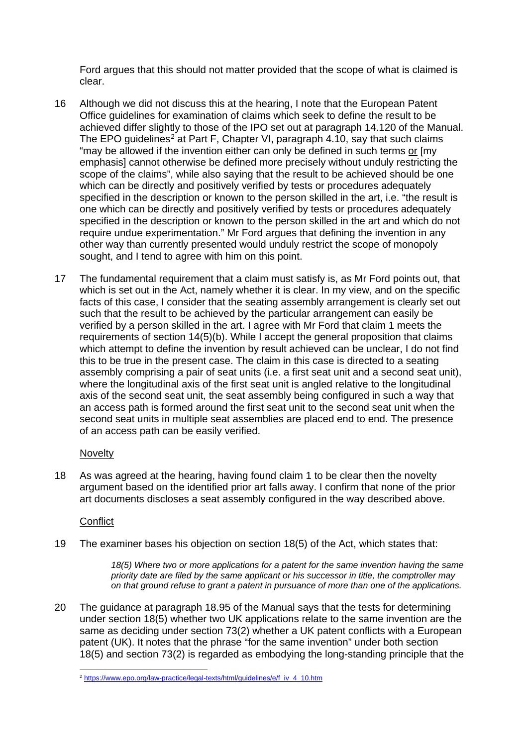Ford argues that this should not matter provided that the scope of what is claimed is clear.

- 16 Although we did not discuss this at the hearing, I note that the European Patent Office guidelines for examination of claims which seek to define the result to be achieved differ slightly to those of the IPO set out at paragraph 14.120 of the Manual. The EPO guidelines<sup>[2](#page-4-0)</sup> at Part F, Chapter VI, paragraph  $4.10$ , say that such claims "may be allowed if the invention either can only be defined in such terms or [my emphasis] cannot otherwise be defined more precisely without unduly restricting the scope of the claims", while also saying that the result to be achieved should be one which can be directly and positively verified by tests or procedures adequately specified in the description or known to the person skilled in the art, i.e. "the result is one which can be directly and positively verified by tests or procedures adequately specified in the description or known to the person skilled in the art and which do not require undue experimentation." Mr Ford argues that defining the invention in any other way than currently presented would unduly restrict the scope of monopoly sought, and I tend to agree with him on this point.
- 17 The fundamental requirement that a claim must satisfy is, as Mr Ford points out, that which is set out in the Act, namely whether it is clear. In my view, and on the specific facts of this case, I consider that the seating assembly arrangement is clearly set out such that the result to be achieved by the particular arrangement can easily be verified by a person skilled in the art. I agree with Mr Ford that claim 1 meets the requirements of section 14(5)(b). While I accept the general proposition that claims which attempt to define the invention by result achieved can be unclear, I do not find this to be true in the present case. The claim in this case is directed to a seating assembly comprising a pair of seat units (i.e. a first seat unit and a second seat unit), where the longitudinal axis of the first seat unit is angled relative to the longitudinal axis of the second seat unit, the seat assembly being configured in such a way that an access path is formed around the first seat unit to the second seat unit when the second seat units in multiple seat assemblies are placed end to end. The presence of an access path can be easily verified.

### **Novelty**

18 As was agreed at the hearing, having found claim 1 to be clear then the novelty argument based on the identified prior art falls away. I confirm that none of the prior art documents discloses a seat assembly configured in the way described above.

# **Conflict**

19 The examiner bases his objection on section 18(5) of the Act, which states that:

*18(5) Where two or more applications for a patent for the same invention having the same priority date are filed by the same applicant or his successor in title, the comptroller may on that ground refuse to grant a patent in pursuance of more than one of the applications.*

20 The guidance at paragraph 18.95 of the Manual says that the tests for determining under section 18(5) whether two UK applications relate to the same invention are the same as deciding under section 73(2) whether a UK patent conflicts with a European patent (UK). It notes that the phrase "for the same invention" under both section 18(5) and section 73(2) is regarded as embodying the long-standing principle that the

<span id="page-4-0"></span> <sup>2</sup> [https://www.epo.org/law-practice/legal-texts/html/guidelines/e/f\\_iv\\_4\\_10.htm](https://www.epo.org/law-practice/legal-texts/html/guidelines/e/f_iv_4_10.htm)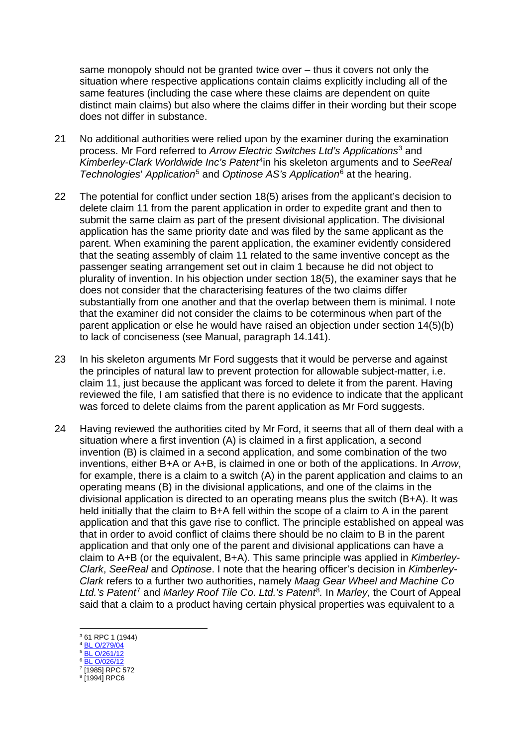same monopoly should not be granted twice over – thus it covers not only the situation where respective applications contain claims explicitly including all of the same features (including the case where these claims are dependent on quite distinct main claims) but also where the claims differ in their wording but their scope does not differ in substance.

- 21 No additional authorities were relied upon by the examiner during the examination process. Mr Ford referred to *Arrow Electric Switches Ltd's Applications*[3](#page-5-0) and *Kimberley-Clark Worldwide Inc's Patent*[4i](#page-5-1)n his skeleton arguments and to *SeeReal Technologies*' *Application*[5](#page-5-2) and *Optinose AS's Application*[6](#page-5-3) at the hearing.
- 22 The potential for conflict under section 18(5) arises from the applicant's decision to delete claim 11 from the parent application in order to expedite grant and then to submit the same claim as part of the present divisional application. The divisional application has the same priority date and was filed by the same applicant as the parent. When examining the parent application, the examiner evidently considered that the seating assembly of claim 11 related to the same inventive concept as the passenger seating arrangement set out in claim 1 because he did not object to plurality of invention. In his objection under section 18(5), the examiner says that he does not consider that the characterising features of the two claims differ substantially from one another and that the overlap between them is minimal. I note that the examiner did not consider the claims to be coterminous when part of the parent application or else he would have raised an objection under section 14(5)(b) to lack of conciseness (see Manual, paragraph 14.141).
- 23 In his skeleton arguments Mr Ford suggests that it would be perverse and against the principles of natural law to prevent protection for allowable subject-matter, i.e. claim 11, just because the applicant was forced to delete it from the parent. Having reviewed the file, I am satisfied that there is no evidence to indicate that the applicant was forced to delete claims from the parent application as Mr Ford suggests.
- 24 Having reviewed the authorities cited by Mr Ford, it seems that all of them deal with a situation where a first invention (A) is claimed in a first application, a second invention (B) is claimed in a second application, and some combination of the two inventions, either B+A or A+B, is claimed in one or both of the applications. In *Arrow*, for example, there is a claim to a switch (A) in the parent application and claims to an operating means (B) in the divisional applications, and one of the claims in the divisional application is directed to an operating means plus the switch (B+A). It was held initially that the claim to B+A fell within the scope of a claim to A in the parent application and that this gave rise to conflict. The principle established on appeal was that in order to avoid conflict of claims there should be no claim to B in the parent application and that only one of the parent and divisional applications can have a claim to A+B (or the equivalent, B+A). This same principle was applied in *Kimberley-Clark*, *SeeReal* and *Optinose*. I note that the hearing officer's decision in *Kimberley-Clark* refers to a further two authorities, namely *Maag Gear Wheel and Machine Co Ltd.'s Patent*[7](#page-5-4) and *Marley Roof Tile Co. Ltd.'s Patent*[8](#page-5-5)*.* In *Marley,* the Court of Appeal said that a claim to a product having certain physical properties was equivalent to a

<span id="page-5-2"></span><sup>6</sup> [BL O/026/12](https://www.ipo.gov.uk/p-challenge-decision-results/o02612.pdf)

<span id="page-5-0"></span> <sup>3</sup> 61 RPC 1 (1944)

<span id="page-5-1"></span><sup>4</sup> [BL O/279/04](https://www.ipo.gov.uk/p-challenge-decision-results/o27904.pdf) <sup>5</sup> [BL O/261/12](https://www.ipo.gov.uk/pro-types/pro-patent/pro-p-os/o26112.pdf)

<span id="page-5-3"></span><sup>&</sup>lt;sup>7</sup> [1985] RPC 572

<span id="page-5-5"></span><span id="page-5-4"></span> $8$   $1994$  $RPC6$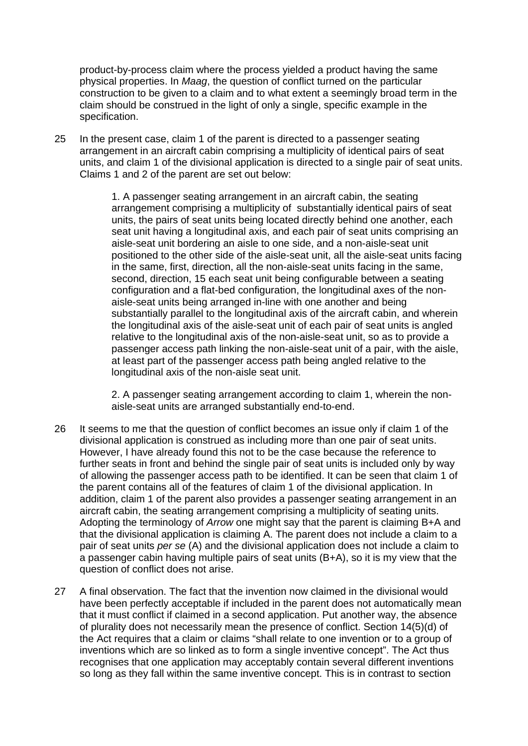product-by-process claim where the process yielded a product having the same physical properties. In *Maag*, the question of conflict turned on the particular construction to be given to a claim and to what extent a seemingly broad term in the claim should be construed in the light of only a single, specific example in the specification.

25 In the present case, claim 1 of the parent is directed to a passenger seating arrangement in an aircraft cabin comprising a multiplicity of identical pairs of seat units, and claim 1 of the divisional application is directed to a single pair of seat units. Claims 1 and 2 of the parent are set out below:

> 1. A passenger seating arrangement in an aircraft cabin, the seating arrangement comprising a multiplicity of substantially identical pairs of seat units, the pairs of seat units being located directly behind one another, each seat unit having a longitudinal axis, and each pair of seat units comprising an aisle-seat unit bordering an aisle to one side, and a non-aisle-seat unit positioned to the other side of the aisle-seat unit, all the aisle-seat units facing in the same, first, direction, all the non-aisle-seat units facing in the same, second, direction, 15 each seat unit being configurable between a seating configuration and a flat-bed configuration, the longitudinal axes of the nonaisle-seat units being arranged in-line with one another and being substantially parallel to the longitudinal axis of the aircraft cabin, and wherein the longitudinal axis of the aisle-seat unit of each pair of seat units is angled relative to the longitudinal axis of the non-aisle-seat unit, so as to provide a passenger access path linking the non-aisle-seat unit of a pair, with the aisle, at least part of the passenger access path being angled relative to the longitudinal axis of the non-aisle seat unit.

2. A passenger seating arrangement according to claim 1, wherein the nonaisle-seat units are arranged substantially end-to-end.

- 26 It seems to me that the question of conflict becomes an issue only if claim 1 of the divisional application is construed as including more than one pair of seat units. However, I have already found this not to be the case because the reference to further seats in front and behind the single pair of seat units is included only by way of allowing the passenger access path to be identified. It can be seen that claim 1 of the parent contains all of the features of claim 1 of the divisional application. In addition, claim 1 of the parent also provides a passenger seating arrangement in an aircraft cabin, the seating arrangement comprising a multiplicity of seating units. Adopting the terminology of *Arrow* one might say that the parent is claiming B+A and that the divisional application is claiming A. The parent does not include a claim to a pair of seat units *per se* (A) and the divisional application does not include a claim to a passenger cabin having multiple pairs of seat units (B+A), so it is my view that the question of conflict does not arise.
- 27 A final observation. The fact that the invention now claimed in the divisional would have been perfectly acceptable if included in the parent does not automatically mean that it must conflict if claimed in a second application. Put another way, the absence of plurality does not necessarily mean the presence of conflict. Section 14(5)(d) of the Act requires that a claim or claims "shall relate to one invention or to a group of inventions which are so linked as to form a single inventive concept". The Act thus recognises that one application may acceptably contain several different inventions so long as they fall within the same inventive concept. This is in contrast to section